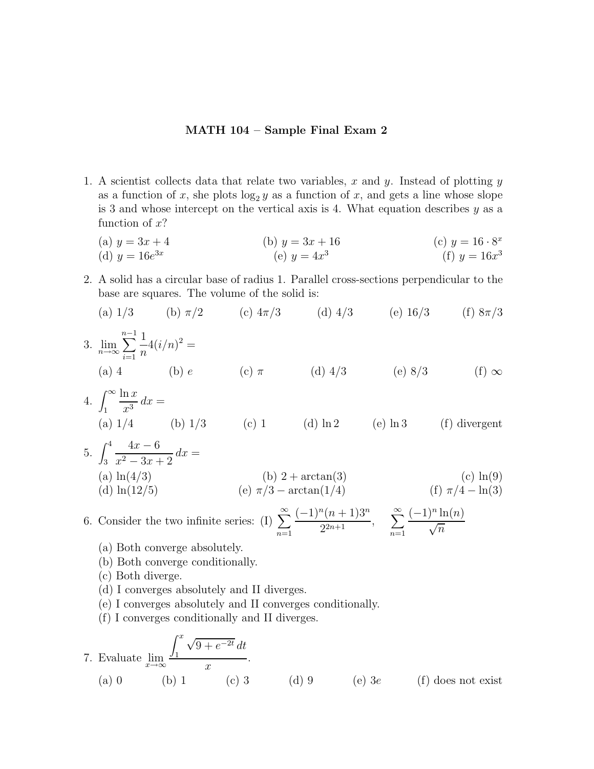## **MATH 104 – Sample Final Exam 2**

- 1. A scientist collects data that relate two variables, x and y. Instead of plotting  $y$ as a function of x, she plots  $\log_2 y$  as a function of x, and gets a line whose slope is 3 and whose intercept on the vertical axis is 4. What equation describes  $y$  as a function of  $x$ ?
	- (a)  $y = 3x + 4$  (b)  $y = 3x + 16$  (c)  $y = 16 \cdot 8^x$ (d)  $y = 16e^{3x}$  (e)  $y = 4x^3$  (f)  $y = 16x^3$
- 2. A solid has a circular base of radius 1. Parallel cross-sections perpendicular to the base are squares. The volume of the solid is:
	- (a)  $1/3$  (b)  $\pi/2$  (c)  $4\pi/3$  (d)  $4/3$  (e)  $16/3$  (f)  $8\pi/3$

3. 
$$
\lim_{n \to \infty} \sum_{i=1}^{n-1} \frac{1}{n} 4(i/n)^2 =
$$
\n(a) 4\n(b) e\n(c) \pi\n(d) 4/3\n(e) 8/3\n(f)  $\infty$ 

4. 
$$
\int_{1}^{\infty} \frac{\ln x}{x^3} dx =
$$
  
\n(a) 1/4 (b) 1/3 (c) 1 (d) ln2 (e) ln3 (f) divergent

5. 
$$
\int_{3}^{4} \frac{4x - 6}{x^{2} - 3x + 2} dx =
$$
\n(a) ln(4/3) \t\t(b) 2 + arctan(3) \t\t(c) ln(9) \t\t(d) ln(12/5) \t\t(e)  $\pi/3 - arctan(1/4)$  \t\t(f)  $\pi/4 - ln(3)$ 

6. Consider the two infinite series: (I) 
$$
\sum_{n=1}^{\infty} \frac{(-1)^n (n+1)3^n}{2^{2n+1}}, \quad \sum_{n=1}^{\infty} \frac{(-1)^n \ln(n)}{\sqrt{n}}
$$

- (a) Both converge absolutely.
- (b) Both converge conditionally.
- (c) Both diverge.
- (d)I converges absolutely and II diverges.
- (e)I converges absolutely and II converges conditionally.
- (f)I converges conditionally and II diverges.

7. Evaluate 
$$
\lim_{x \to \infty} \frac{\int_1^x \sqrt{9 + e^{-2t}} dt}{x}
$$
.  
\n(a) 0 \t(b) 1 \t(c) 3 \t(d) 9 \t(e) 3e \t(f) does not exist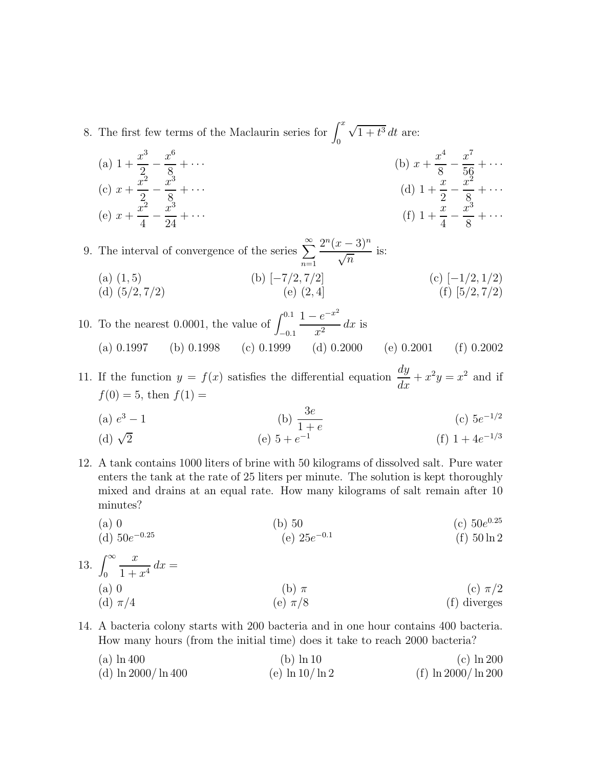- 8. The first few terms of the Maclaurin series for  $\int_0^x$  $\boldsymbol{0}$  $\sqrt{1+t^3} dt$  are:
	- (a)  $1 + \frac{x^3}{2} \frac{x^6}{8}$  $\frac{x}{8} + \cdots$  (b)  $x +$  $\frac{x^4}{8} - \frac{x^7}{56} + \cdots$  $(c)$   $x +$  $rac{\bar{x}^2}{2} - \frac{\bar{x}^3}{8}$  $\frac{x^3}{8} + \cdots$  (d)  $1 + \frac{x}{2} - \frac{x^2}{8} + \cdots$  $(e) x +$  $rac{x^2}{4} - \frac{x^3}{24}$  $\frac{x^3}{24} + \cdots$  (f)  $1 + \frac{x}{4} - \frac{x^3}{8} + \cdots$

9. The interval of convergence of the series  $\sum^{\infty}$ *n*=1  $2^n(x-3)^n$  $\frac{\sqrt{n}}{\sqrt{n}}$  is: (a)(1, 5)(b)[−7/2, 7/2] (c)[−1/2, 1/2) (d)  $(5/2, 7/2)$  (e)  $(2, 4)$  (f)  $[5/2, 7/2)$ 

10. To the nearest 0.0001, the value of  $\int^{0.1}$ −0*.*1  $1 - e^{-x^2}$  $\frac{e}{x^2}$  dx is (a) 0.1997 (b) 0.1998 (c) 0.1999 (d) 0.2000 (e) 0.2001 (f) 0.2002

11. If the function  $y = f(x)$  satisfies the differential equation  $\frac{dy}{dx} + x^2y = x^2$  and if  $f(0)=5$ , then  $f(1)=$ 

(a) 
$$
e^3 - 1
$$
   
 (b)  $\frac{3e}{1+e}$    
 (c)  $5e^{-1/2}$ 

(d) 
$$
\sqrt{2}
$$
 (e)  $5 + e^{-1}$  (f)  $1 + 4e^{-1/3}$ 

12. A tank contains 1000 liters of brine with 50 kilograms of dissolved salt. Pure water enters the tank at the rate of 25 liters per minute. The solution is kept thoroughly mixed and drains at an equal rate. How many kilograms of salt remain after 10 minutes?

(a) 0  
\n(b) 50  
\n(c) 
$$
50e^{0.25}
$$
  
\n(d)  $50e^{-0.25}$   
\n(e)  $25e^{-0.1}$   
\n(f)  $50 \ln 2$ 

13. 
$$
\int_0^\infty \frac{x}{1+x^4} dx =
$$
  
\n(a) 0  
\n(d)  $\pi/4$   
\n(b)  $\pi$   
\n(c)  $\pi/2$   
\n(d)  $\pi/4$   
\n(e)  $\pi/8$   
\n(f) diverges

14. A bacteria colony starts with 200 bacteria and in one hour contains 400 bacteria. How many hours (from the initial time) does it take to reach 2000 bacteria?

(a)  $\ln 400$  (b)  $\ln 10$  (c)  $\ln 200$ (d)  $\ln 2000 / \ln 400$  (e)  $\ln 10 / \ln 2$  (f)  $\ln 2000 / \ln 200$